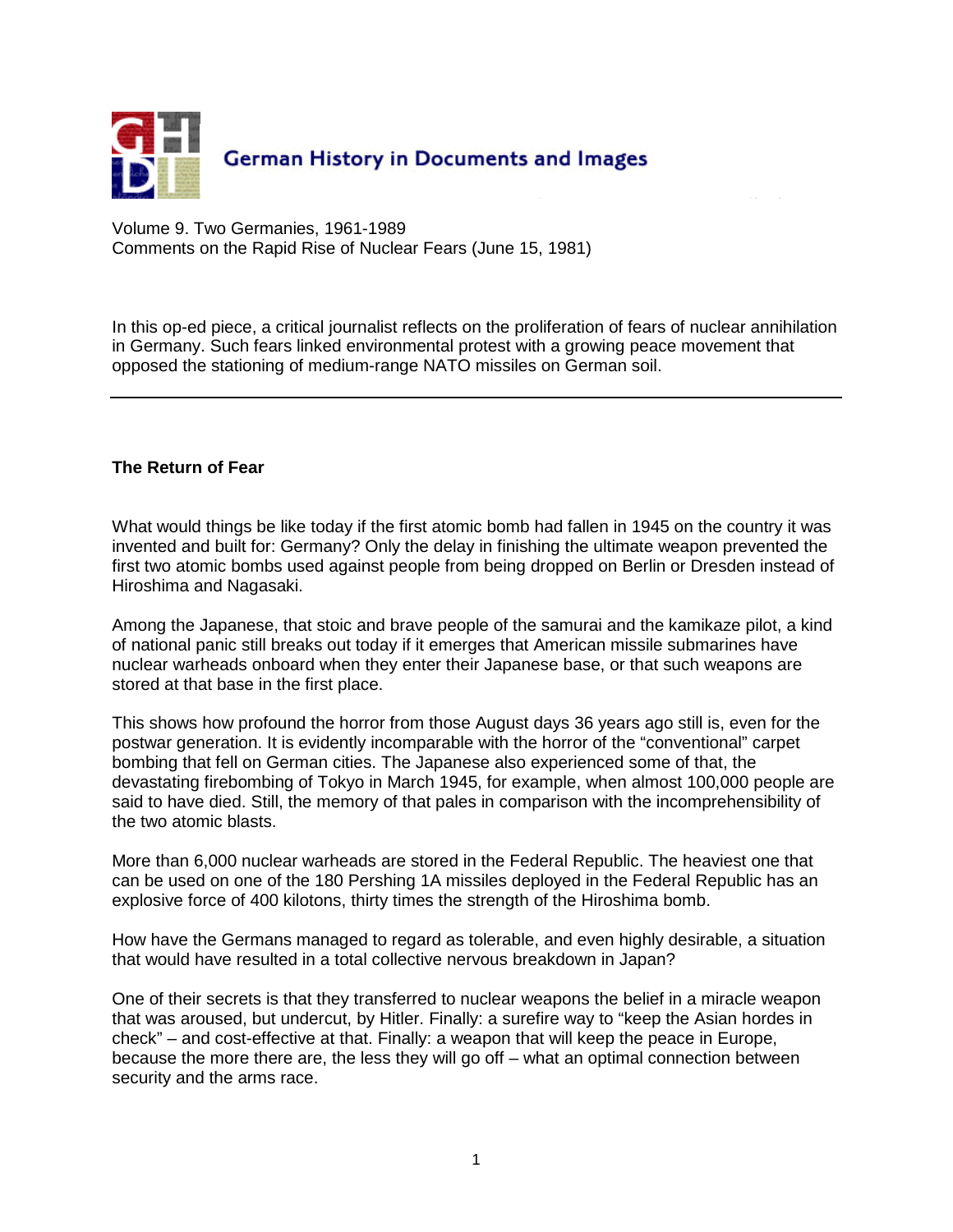

Volume 9. Two Germanies, 1961-1989 Comments on the Rapid Rise of Nuclear Fears (June 15, 1981)

In this op-ed piece, a critical journalist reflects on the proliferation of fears of nuclear annihilation in Germany. Such fears linked environmental protest with a growing peace movement that opposed the stationing of medium-range NATO missiles on German soil.

## **The Return of Fear**

What would things be like today if the first atomic bomb had fallen in 1945 on the country it was invented and built for: Germany? Only the delay in finishing the ultimate weapon prevented the first two atomic bombs used against people from being dropped on Berlin or Dresden instead of Hiroshima and Nagasaki.

Among the Japanese, that stoic and brave people of the samurai and the kamikaze pilot, a kind of national panic still breaks out today if it emerges that American missile submarines have nuclear warheads onboard when they enter their Japanese base, or that such weapons are stored at that base in the first place.

This shows how profound the horror from those August days 36 years ago still is, even for the postwar generation. It is evidently incomparable with the horror of the "conventional" carpet bombing that fell on German cities. The Japanese also experienced some of that, the devastating firebombing of Tokyo in March 1945, for example, when almost 100,000 people are said to have died. Still, the memory of that pales in comparison with the incomprehensibility of the two atomic blasts.

More than 6,000 nuclear warheads are stored in the Federal Republic. The heaviest one that can be used on one of the 180 Pershing 1A missiles deployed in the Federal Republic has an explosive force of 400 kilotons, thirty times the strength of the Hiroshima bomb.

How have the Germans managed to regard as tolerable, and even highly desirable, a situation that would have resulted in a total collective nervous breakdown in Japan?

One of their secrets is that they transferred to nuclear weapons the belief in a miracle weapon that was aroused, but undercut, by Hitler. Finally: a surefire way to "keep the Asian hordes in check" – and cost-effective at that. Finally: a weapon that will keep the peace in Europe, because the more there are, the less they will go off – what an optimal connection between security and the arms race.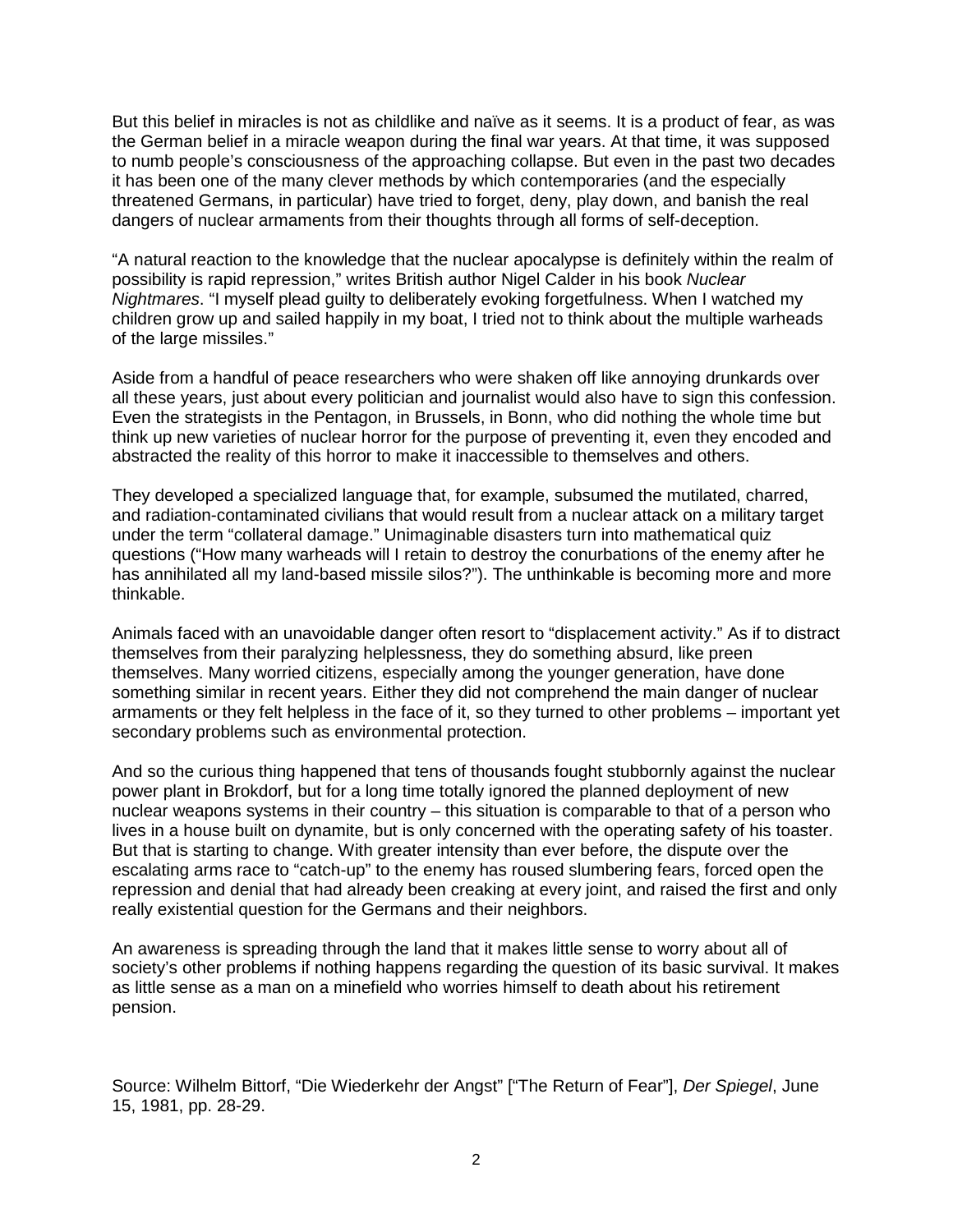But this belief in miracles is not as childlike and naïve as it seems. It is a product of fear, as was the German belief in a miracle weapon during the final war years. At that time, it was supposed to numb people's consciousness of the approaching collapse. But even in the past two decades it has been one of the many clever methods by which contemporaries (and the especially threatened Germans, in particular) have tried to forget, deny, play down, and banish the real dangers of nuclear armaments from their thoughts through all forms of self-deception.

"A natural reaction to the knowledge that the nuclear apocalypse is definitely within the realm of possibility is rapid repression," writes British author Nigel Calder in his book Nuclear Nightmares. "I myself plead guilty to deliberately evoking forgetfulness. When I watched my children grow up and sailed happily in my boat, I tried not to think about the multiple warheads of the large missiles."

Aside from a handful of peace researchers who were shaken off like annoying drunkards over all these years, just about every politician and journalist would also have to sign this confession. Even the strategists in the Pentagon, in Brussels, in Bonn, who did nothing the whole time but think up new varieties of nuclear horror for the purpose of preventing it, even they encoded and abstracted the reality of this horror to make it inaccessible to themselves and others.

They developed a specialized language that, for example, subsumed the mutilated, charred, and radiation-contaminated civilians that would result from a nuclear attack on a military target under the term "collateral damage." Unimaginable disasters turn into mathematical quiz questions ("How many warheads will I retain to destroy the conurbations of the enemy after he has annihilated all my land-based missile silos?"). The unthinkable is becoming more and more thinkable.

Animals faced with an unavoidable danger often resort to "displacement activity." As if to distract themselves from their paralyzing helplessness, they do something absurd, like preen themselves. Many worried citizens, especially among the younger generation, have done something similar in recent years. Either they did not comprehend the main danger of nuclear armaments or they felt helpless in the face of it, so they turned to other problems – important yet secondary problems such as environmental protection.

And so the curious thing happened that tens of thousands fought stubbornly against the nuclear power plant in Brokdorf, but for a long time totally ignored the planned deployment of new nuclear weapons systems in their country – this situation is comparable to that of a person who lives in a house built on dynamite, but is only concerned with the operating safety of his toaster. But that is starting to change. With greater intensity than ever before, the dispute over the escalating arms race to "catch-up" to the enemy has roused slumbering fears, forced open the repression and denial that had already been creaking at every joint, and raised the first and only really existential question for the Germans and their neighbors.

An awareness is spreading through the land that it makes little sense to worry about all of society's other problems if nothing happens regarding the question of its basic survival. It makes as little sense as a man on a minefield who worries himself to death about his retirement pension.

Source: Wilhelm Bittorf, "Die Wiederkehr der Angst" ["The Return of Fear"], Der Spiegel, June 15, 1981, pp. 28-29.